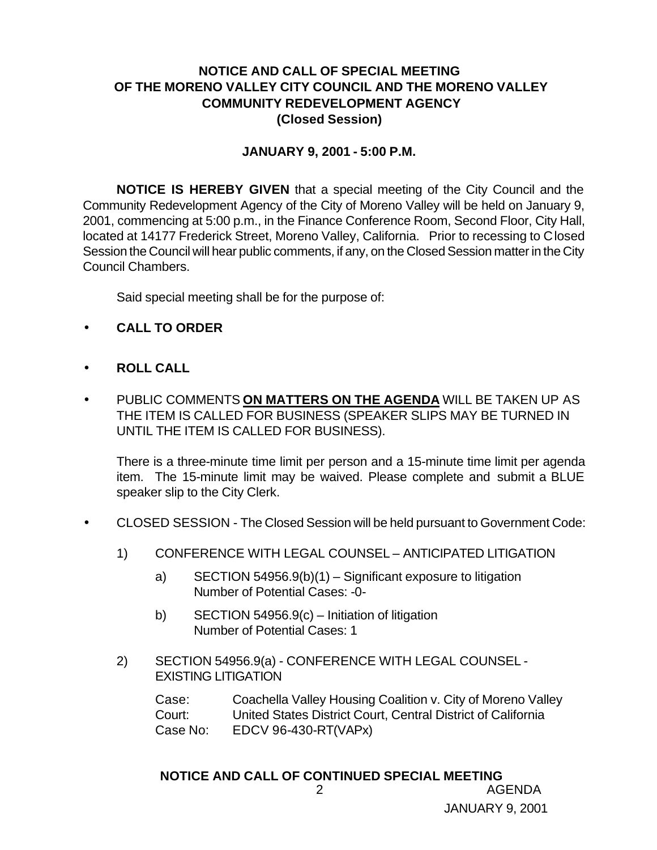#### **NOTICE AND CALL OF SPECIAL MEETING OF THE MORENO VALLEY CITY COUNCIL AND THE MORENO VALLEY COMMUNITY REDEVELOPMENT AGENCY (Closed Session)**

#### **JANUARY 9, 2001 - 5:00 P.M.**

**NOTICE IS HEREBY GIVEN** that a special meeting of the City Council and the Community Redevelopment Agency of the City of Moreno Valley will be held on January 9, 2001, commencing at 5:00 p.m., in the Finance Conference Room, Second Floor, City Hall, located at 14177 Frederick Street, Moreno Valley, California. Prior to recessing to Closed Session the Council will hear public comments, if any, on the Closed Session matter in the City Council Chambers.

Said special meeting shall be for the purpose of:

- **CALL TO ORDER**
- **ROLL CALL**
- PUBLIC COMMENTS **ON MATTERS ON THE AGENDA** WILL BE TAKEN UP AS THE ITEM IS CALLED FOR BUSINESS (SPEAKER SLIPS MAY BE TURNED IN UNTIL THE ITEM IS CALLED FOR BUSINESS).

There is a three-minute time limit per person and a 15-minute time limit per agenda item. The 15-minute limit may be waived. Please complete and submit a BLUE speaker slip to the City Clerk.

- CLOSED SESSION The Closed Session will be held pursuant to Government Code:
	- 1) CONFERENCE WITH LEGAL COUNSEL ANTICIPATED LITIGATION
		- a) SECTION 54956.9(b)(1) Significant exposure to litigation Number of Potential Cases: -0-
		- b) SECTION 54956.9(c) Initiation of litigation Number of Potential Cases: 1
	- 2) SECTION 54956.9(a) CONFERENCE WITH LEGAL COUNSEL EXISTING LITIGATION

Case: Coachella Valley Housing Coalition v. City of Moreno Valley Court: United States District Court, Central District of California Case No: EDCV 96-430-RT(VAPx)

# 2 AGENDA **NOTICE AND CALL OF CONTINUED SPECIAL MEETING**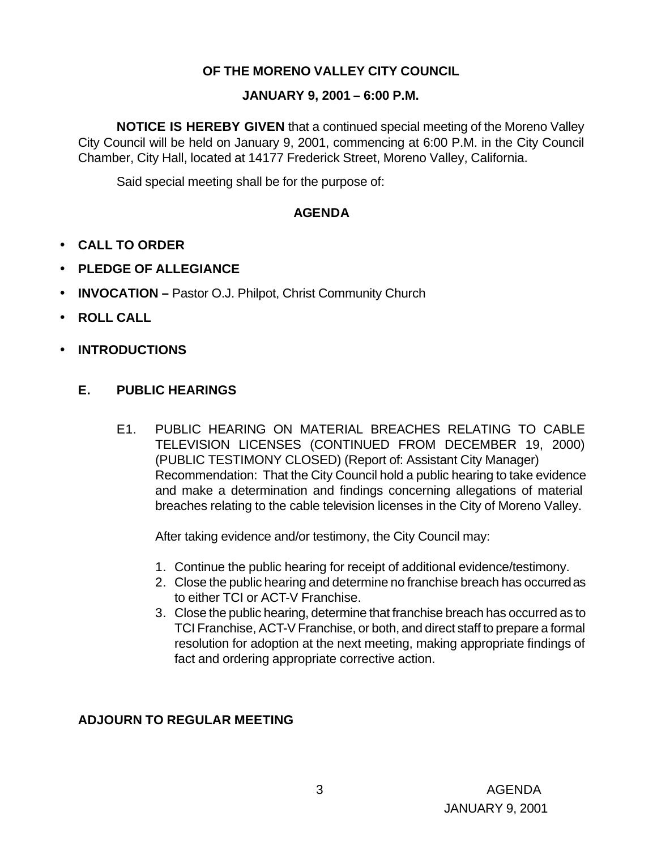# **OF THE MORENO VALLEY CITY COUNCIL**

#### **JANUARY 9, 2001 – 6:00 P.M.**

**NOTICE IS HEREBY GIVEN** that a continued special meeting of the Moreno Valley City Council will be held on January 9, 2001, commencing at 6:00 P.M. in the City Council Chamber, City Hall, located at 14177 Frederick Street, Moreno Valley, California.

Said special meeting shall be for the purpose of:

# **AGENDA**

- **CALL TO ORDER**
- **PLEDGE OF ALLEGIANCE**
- **INVOCATION –** Pastor O.J. Philpot, Christ Community Church
- **ROLL CALL**
- **INTRODUCTIONS**

## **E. PUBLIC HEARINGS**

E1. PUBLIC HEARING ON MATERIAL BREACHES RELATING TO CABLE TELEVISION LICENSES (CONTINUED FROM DECEMBER 19, 2000) (PUBLIC TESTIMONY CLOSED) (Report of: Assistant City Manager) Recommendation: That the City Council hold a public hearing to take evidence and make a determination and findings concerning allegations of material breaches relating to the cable television licenses in the City of Moreno Valley.

After taking evidence and/or testimony, the City Council may:

- 1. Continue the public hearing for receipt of additional evidence/testimony.
- 2. Close the public hearing and determine no franchise breach has occurred as to either TCI or ACT-V Franchise.
- 3. Close the public hearing, determine that franchise breach has occurred as to TCI Franchise, ACT-V Franchise, or both, and direct staff to prepare a formal resolution for adoption at the next meeting, making appropriate findings of fact and ordering appropriate corrective action.

## **ADJOURN TO REGULAR MEETING**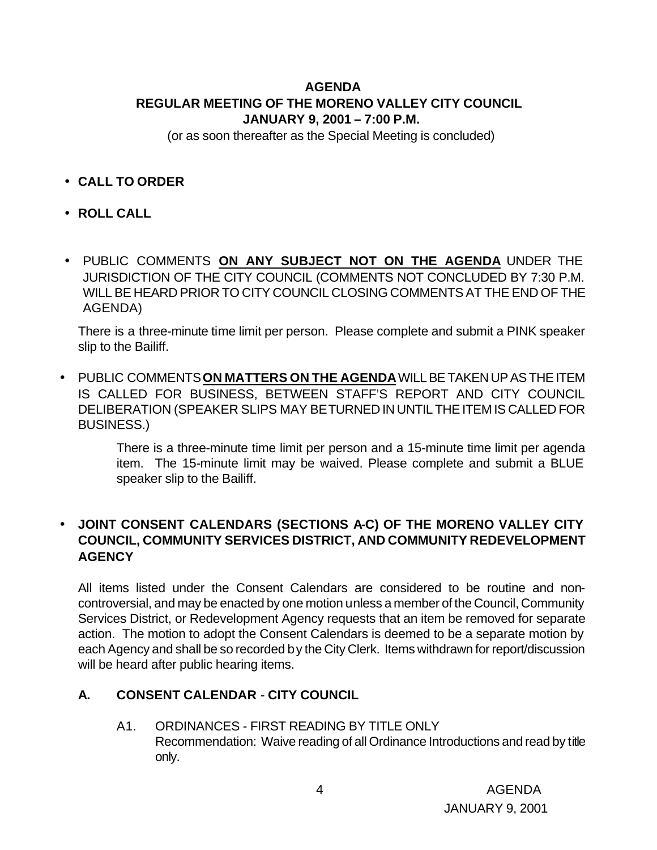# **AGENDA REGULAR MEETING OF THE MORENO VALLEY CITY COUNCIL JANUARY 9, 2001 – 7:00 P.M.**

(or as soon thereafter as the Special Meeting is concluded)

- **CALL TO ORDER**
- **ROLL CALL**
- PUBLIC COMMENTS **ON ANY SUBJECT NOT ON THE AGENDA** UNDER THE JURISDICTION OF THE CITY COUNCIL (COMMENTS NOT CONCLUDED BY 7:30 P.M. WILL BE HEARD PRIOR TO CITY COUNCIL CLOSING COMMENTS AT THE END OF THE AGENDA)

There is a three-minute time limit per person. Please complete and submit a PINK speaker slip to the Bailiff.

• PUBLIC COMMENTS **ON MATTERS ON THE AGENDA** WILL BE TAKEN UP AS THE ITEM IS CALLED FOR BUSINESS, BETWEEN STAFF'S REPORT AND CITY COUNCIL DELIBERATION (SPEAKER SLIPS MAY BE TURNED IN UNTIL THE ITEM IS CALLED FOR BUSINESS.)

> There is a three-minute time limit per person and a 15-minute time limit per agenda item. The 15-minute limit may be waived. Please complete and submit a BLUE speaker slip to the Bailiff.

## • **JOINT CONSENT CALENDARS (SECTIONS A-C) OF THE MORENO VALLEY CITY COUNCIL, COMMUNITY SERVICES DISTRICT, AND COMMUNITY REDEVELOPMENT AGENCY**

All items listed under the Consent Calendars are considered to be routine and noncontroversial, and may be enacted by one motion unless a member of the Council, Community Services District, or Redevelopment Agency requests that an item be removed for separate action. The motion to adopt the Consent Calendars is deemed to be a separate motion by each Agency and shall be so recorded by the City Clerk. Items withdrawn for report/discussion will be heard after public hearing items.

## **A. CONSENT CALENDAR** - **CITY COUNCIL**

A1. ORDINANCES - FIRST READING BY TITLE ONLY Recommendation: Waive reading of all Ordinance Introductions and read by title only.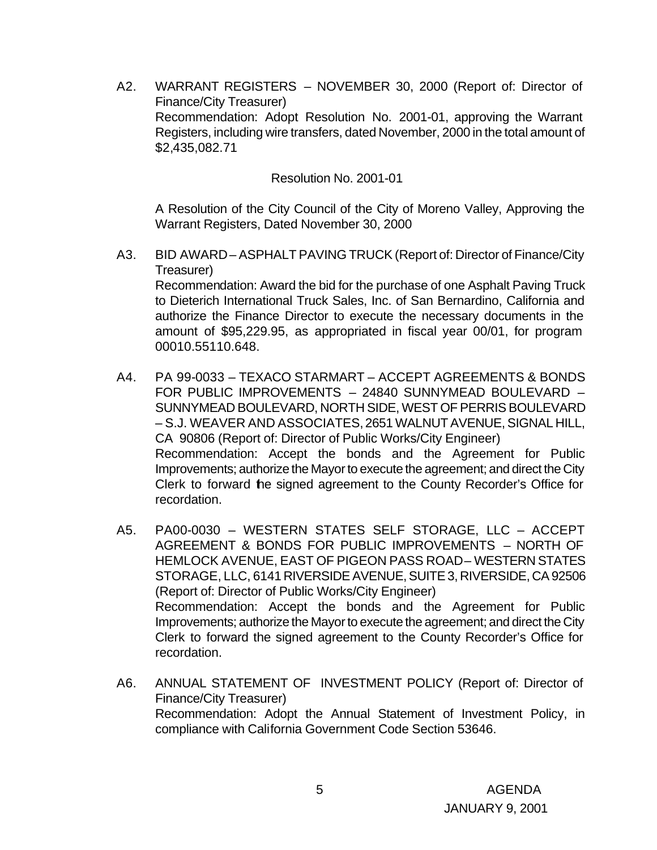A2. WARRANT REGISTERS – NOVEMBER 30, 2000 (Report of: Director of Finance/City Treasurer) Recommendation: Adopt Resolution No. 2001-01, approving the Warrant Registers, including wire transfers, dated November, 2000 in the total amount of \$2,435,082.71

Resolution No. 2001-01

A Resolution of the City Council of the City of Moreno Valley, Approving the Warrant Registers, Dated November 30, 2000

- A3. BID AWARD ASPHALT PAVING TRUCK (Report of: Director of Finance/City Treasurer) Recommendation: Award the bid for the purchase of one Asphalt Paving Truck to Dieterich International Truck Sales, Inc. of San Bernardino, California and authorize the Finance Director to execute the necessary documents in the amount of \$95,229.95, as appropriated in fiscal year 00/01, for program 00010.55110.648.
- A4. PA 99-0033 TEXACO STARMART ACCEPT AGREEMENTS & BONDS FOR PUBLIC IMPROVEMENTS – 24840 SUNNYMEAD BOULEVARD – SUNNYMEAD BOULEVARD, NORTH SIDE, WEST OF PERRIS BOULEVARD – S.J. WEAVER AND ASSOCIATES, 2651 WALNUT AVENUE, SIGNAL HILL, CA 90806 (Report of: Director of Public Works/City Engineer) Recommendation: Accept the bonds and the Agreement for Public Improvements; authorize the Mayor to execute the agreement; and direct the City Clerk to forward the signed agreement to the County Recorder's Office for recordation.
- A5. PA00-0030 WESTERN STATES SELF STORAGE, LLC ACCEPT AGREEMENT & BONDS FOR PUBLIC IMPROVEMENTS – NORTH OF HEMLOCK AVENUE, EAST OF PIGEON PASS ROAD-WESTERN STATES STORAGE, LLC, 6141 RIVERSIDE AVENUE, SUITE 3, RIVERSIDE, CA 92506 (Report of: Director of Public Works/City Engineer) Recommendation: Accept the bonds and the Agreement for Public Improvements; authorize the Mayor to execute the agreement; and direct the City Clerk to forward the signed agreement to the County Recorder's Office for recordation.
- A6. ANNUAL STATEMENT OF INVESTMENT POLICY (Report of: Director of Finance/City Treasurer) Recommendation: Adopt the Annual Statement of Investment Policy, in compliance with California Government Code Section 53646.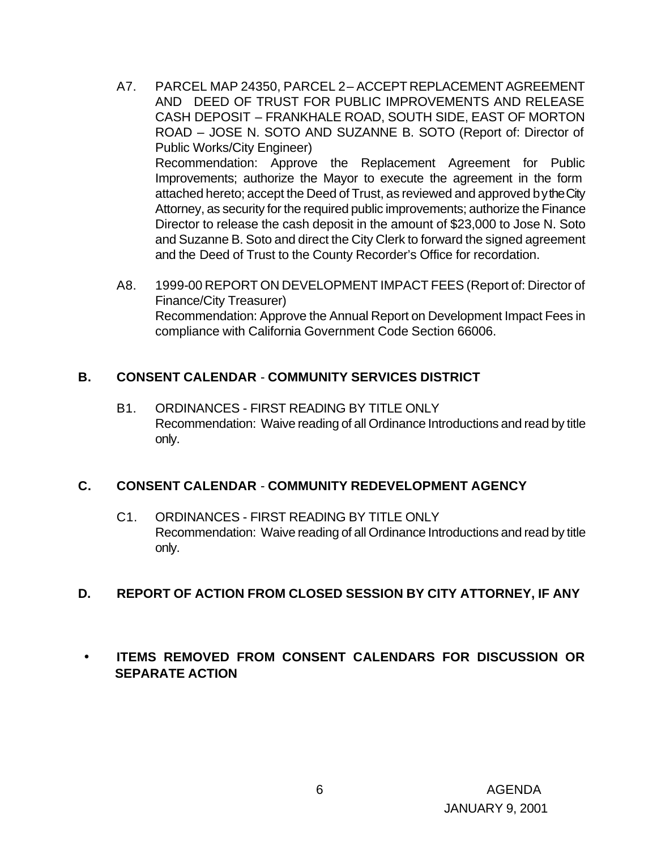- A7. PARCEL MAP 24350, PARCEL 2 ACCEPT REPLACEMENT AGREEMENT AND DEED OF TRUST FOR PUBLIC IMPROVEMENTS AND RELEASE CASH DEPOSIT – FRANKHALE ROAD, SOUTH SIDE, EAST OF MORTON ROAD – JOSE N. SOTO AND SUZANNE B. SOTO (Report of: Director of Public Works/City Engineer) Recommendation: Approve the Replacement Agreement for Public Improvements; authorize the Mayor to execute the agreement in the form attached hereto; accept the Deed of Trust, as reviewed and approved by the City Attorney, as security for the required public improvements; authorize the Finance Director to release the cash deposit in the amount of \$23,000 to Jose N. Soto and Suzanne B. Soto and direct the City Clerk to forward the signed agreement and the Deed of Trust to the County Recorder's Office for recordation.
- A8. 1999-00 REPORT ON DEVELOPMENT IMPACT FEES (Report of: Director of Finance/City Treasurer) Recommendation: Approve the Annual Report on Development Impact Fees in compliance with California Government Code Section 66006.

#### **B. CONSENT CALENDAR** - **COMMUNITY SERVICES DISTRICT**

B1. ORDINANCES - FIRST READING BY TITLE ONLY Recommendation: Waive reading of all Ordinance Introductions and read by title only.

## **C. CONSENT CALENDAR** - **COMMUNITY REDEVELOPMENT AGENCY**

C1. ORDINANCES - FIRST READING BY TITLE ONLY Recommendation: Waive reading of all Ordinance Introductions and read by title only.

## **D. REPORT OF ACTION FROM CLOSED SESSION BY CITY ATTORNEY, IF ANY**

# • **ITEMS REMOVED FROM CONSENT CALENDARS FOR DISCUSSION OR SEPARATE ACTION**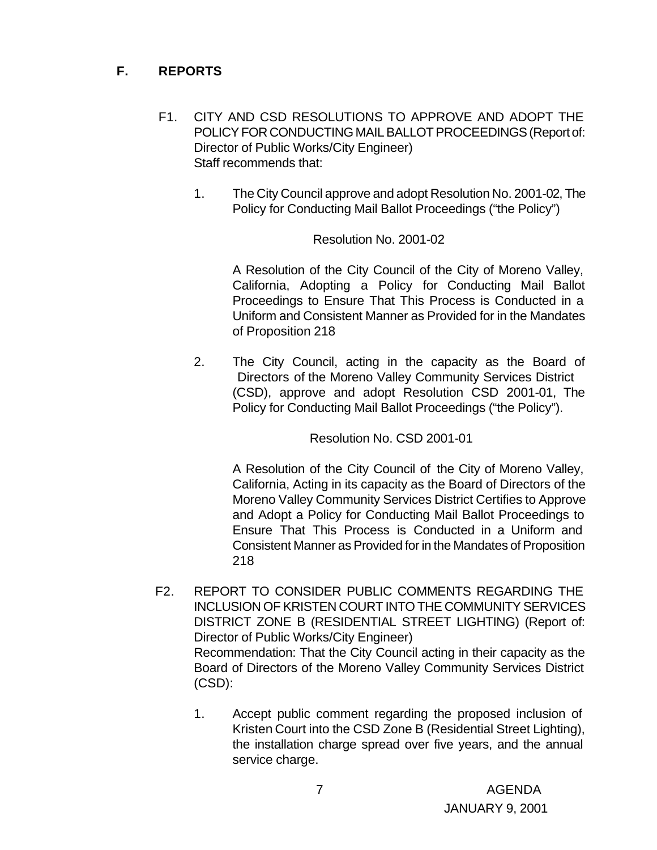# **F. REPORTS**

- F1. CITY AND CSD RESOLUTIONS TO APPROVE AND ADOPT THE POLICY FOR CONDUCTING MAIL BALLOT PROCEEDINGS (Report of: Director of Public Works/City Engineer) Staff recommends that:
	- 1. The City Council approve and adopt Resolution No. 2001-02, The Policy for Conducting Mail Ballot Proceedings ("the Policy")

#### Resolution No. 2001-02

A Resolution of the City Council of the City of Moreno Valley, California, Adopting a Policy for Conducting Mail Ballot Proceedings to Ensure That This Process is Conducted in a Uniform and Consistent Manner as Provided for in the Mandates of Proposition 218

2. The City Council, acting in the capacity as the Board of Directors of the Moreno Valley Community Services District (CSD), approve and adopt Resolution CSD 2001-01, The Policy for Conducting Mail Ballot Proceedings ("the Policy").

Resolution No. CSD 2001-01

A Resolution of the City Council of the City of Moreno Valley, California, Acting in its capacity as the Board of Directors of the Moreno Valley Community Services District Certifies to Approve and Adopt a Policy for Conducting Mail Ballot Proceedings to Ensure That This Process is Conducted in a Uniform and Consistent Manner as Provided for in the Mandates of Proposition 218

- F2. REPORT TO CONSIDER PUBLIC COMMENTS REGARDING THE INCLUSION OF KRISTEN COURT INTO THE COMMUNITY SERVICES DISTRICT ZONE B (RESIDENTIAL STREET LIGHTING) (Report of: Director of Public Works/City Engineer) Recommendation: That the City Council acting in their capacity as the Board of Directors of the Moreno Valley Community Services District (CSD):
	- 1. Accept public comment regarding the proposed inclusion of Kristen Court into the CSD Zone B (Residential Street Lighting), the installation charge spread over five years, and the annual service charge.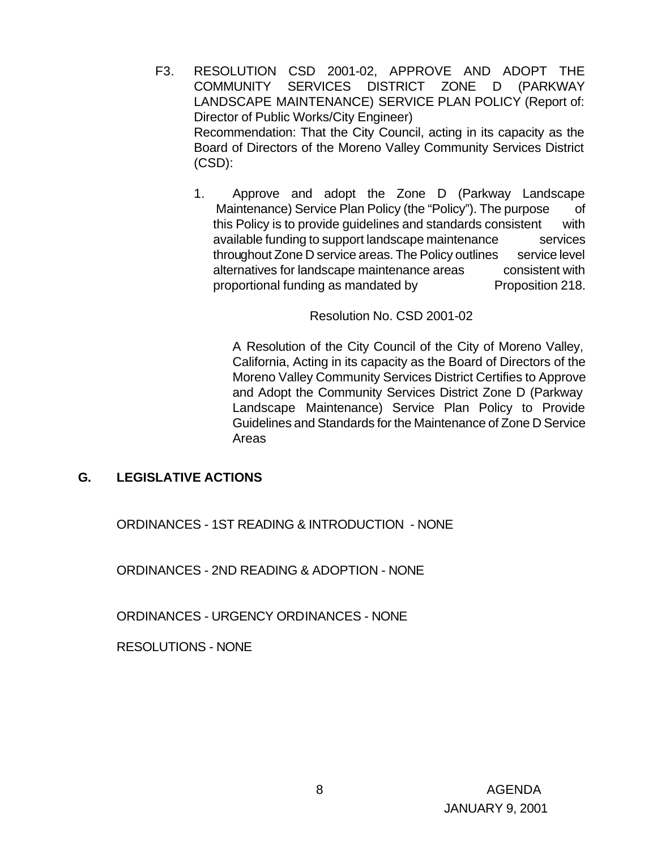- F3. RESOLUTION CSD 2001-02, APPROVE AND ADOPT THE COMMUNITY SERVICES DISTRICT ZONE D (PARKWAY LANDSCAPE MAINTENANCE) SERVICE PLAN POLICY (Report of: Director of Public Works/City Engineer) Recommendation: That the City Council, acting in its capacity as the Board of Directors of the Moreno Valley Community Services District (CSD):
	- 1. Approve and adopt the Zone D (Parkway Landscape Maintenance) Service Plan Policy (the "Policy"). The purpose of this Policy is to provide guidelines and standards consistent with available funding to support landscape maintenance services throughout Zone D service areas. The Policy outlines service level alternatives for landscape maintenance areas consistent with proportional funding as mandated by Proposition 218.

Resolution No. CSD 2001-02

A Resolution of the City Council of the City of Moreno Valley, California, Acting in its capacity as the Board of Directors of the Moreno Valley Community Services District Certifies to Approve and Adopt the Community Services District Zone D (Parkway Landscape Maintenance) Service Plan Policy to Provide Guidelines and Standards for the Maintenance of Zone D Service Areas

#### **G. LEGISLATIVE ACTIONS**

ORDINANCES - 1ST READING & INTRODUCTION - NONE

ORDINANCES - 2ND READING & ADOPTION - NONE

ORDINANCES - URGENCY ORDINANCES - NONE

RESOLUTIONS - NONE